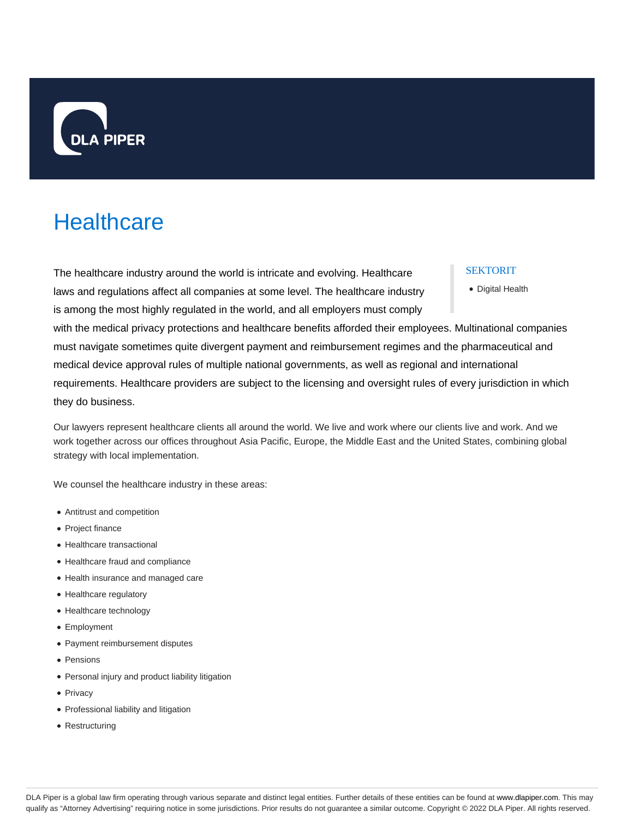

# **Healthcare**

The healthcare industry around the world is intricate and evolving. Healthcare laws and regulations affect all companies at some level. The healthcare industry is among the most highly regulated in the world, and all employers must comply

# SEKTORIT

Digital Health

with the medical privacy protections and healthcare benefits afforded their employees. Multinational companies must navigate sometimes quite divergent payment and reimbursement regimes and the pharmaceutical and medical device approval rules of multiple national governments, as well as regional and international requirements. Healthcare providers are subject to the licensing and oversight rules of every jurisdiction in which they do business.

Our lawyers represent healthcare clients all around the world. We live and work where our clients live and work. And we work together across our offices throughout Asia Pacific, Europe, the Middle East and the United States, combining global strategy with local implementation.

We counsel the healthcare industry in these areas:

- Antitrust and competition
- Project finance
- Healthcare transactional
- Healthcare fraud and compliance
- Health insurance and managed care
- Healthcare regulatory
- Healthcare technology
- Employment
- Payment reimbursement disputes
- Pensions
- Personal injury and product liability litigation
- Privacy
- Professional liability and litigation
- Restructuring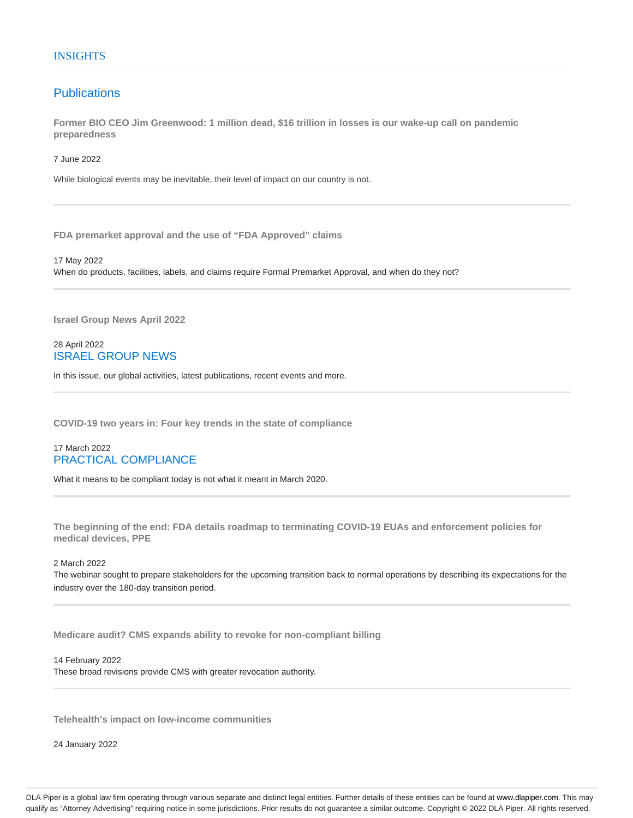# **Publications**

**Former BIO CEO Jim Greenwood: 1 million dead, \$16 trillion in losses is our wake-up call on pandemic preparedness**

7 June 2022

While biological events may be inevitable, their level of impact on our country is not.

**FDA premarket approval and the use of "FDA Approved" claims**

17 May 2022 When do products, facilities, labels, and claims require Formal Premarket Approval, and when do they not?

**Israel Group News April 2022**

# 28 April 2022 ISRAEL GROUP NEWS

In this issue, our global activities, latest publications, recent events and more.

**COVID-19 two years in: Four key trends in the state of compliance**

# 17 March 2022 PRACTICAL COMPLIANCE

What it means to be compliant today is not what it meant in March 2020.

**The beginning of the end: FDA details roadmap to terminating COVID-19 EUAs and enforcement policies for medical devices, PPE**

2 March 2022

The webinar sought to prepare stakeholders for the upcoming transition back to normal operations by describing its expectations for the industry over the 180-day transition period.

**Medicare audit? CMS expands ability to revoke for non-compliant billing**

14 February 2022

These broad revisions provide CMS with greater revocation authority.

**Telehealth's impact on low-income communities**

24 January 2022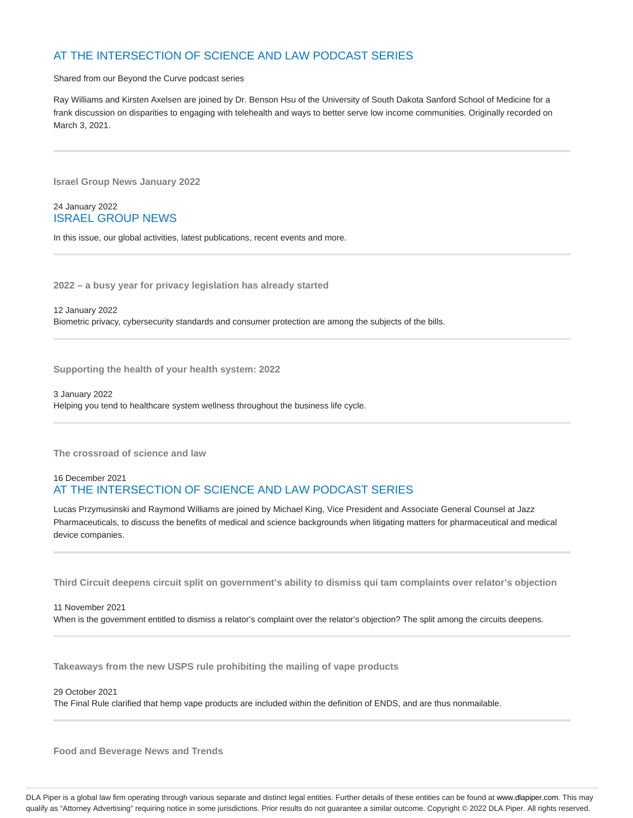# AT THE INTERSECTION OF SCIENCE AND LAW PODCAST SERIES

Shared from our Beyond the Curve podcast series

Ray Williams and Kirsten Axelsen are joined by Dr. Benson Hsu of the University of South Dakota Sanford School of Medicine for a frank discussion on disparities to engaging with telehealth and ways to better serve low income communities. Originally recorded on March 3, 2021.

**Israel Group News January 2022**

24 January 2022 ISRAEL GROUP NEWS

In this issue, our global activities, latest publications, recent events and more.

**2022 – a busy year for privacy legislation has already started**

12 January 2022 Biometric privacy, cybersecurity standards and consumer protection are among the subjects of the bills.

**Supporting the health of your health system: 2022**

3 January 2022 Helping you tend to healthcare system wellness throughout the business life cycle.

**The crossroad of science and law**

# 16 December 2021 AT THE INTERSECTION OF SCIENCE AND LAW PODCAST SERIES

Lucas Przymusinski and Raymond Williams are joined by Michael King, Vice President and Associate General Counsel at Jazz Pharmaceuticals, to discuss the benefits of medical and science backgrounds when litigating matters for pharmaceutical and medical device companies.

**Third Circuit deepens circuit split on government's ability to dismiss qui tam complaints over relator's objection**

11 November 2021 When is the government entitled to dismiss a relator's complaint over the relator's objection? The split among the circuits deepens.

**Takeaways from the new USPS rule prohibiting the mailing of vape products**

29 October 2021

The Final Rule clarified that hemp vape products are included within the definition of ENDS, and are thus nonmailable.

**Food and Beverage News and Trends**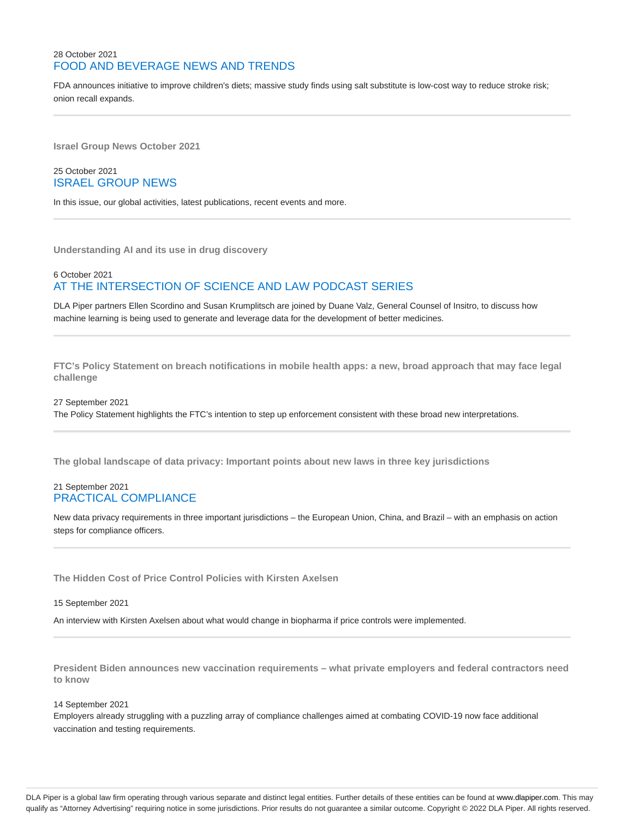# 28 October 2021 FOOD AND BEVERAGE NEWS AND TRENDS

FDA announces initiative to improve children's diets; massive study finds using salt substitute is low-cost way to reduce stroke risk; onion recall expands.

**Israel Group News October 2021**

# 25 October 2021 ISRAEL GROUP NEWS

In this issue, our global activities, latest publications, recent events and more.

**Understanding AI and its use in drug discovery**

# 6 October 2021 AT THE INTERSECTION OF SCIENCE AND LAW PODCAST SERIES

DLA Piper partners Ellen Scordino and Susan Krumplitsch are joined by Duane Valz, General Counsel of Insitro, to discuss how machine learning is being used to generate and leverage data for the development of better medicines.

**FTC's Policy Statement on breach notifications in mobile health apps: a new, broad approach that may face legal challenge**

#### 27 September 2021

The Policy Statement highlights the FTC's intention to step up enforcement consistent with these broad new interpretations.

**The global landscape of data privacy: Important points about new laws in three key jurisdictions**

# 21 September 2021 PRACTICAL COMPLIANCE

New data privacy requirements in three important jurisdictions – the European Union, China, and Brazil – with an emphasis on action steps for compliance officers.

**The Hidden Cost of Price Control Policies with Kirsten Axelsen**

# 15 September 2021

An interview with Kirsten Axelsen about what would change in biopharma if price controls were implemented.

**President Biden announces new vaccination requirements – what private employers and federal contractors need to know**

#### 14 September 2021

Employers already struggling with a puzzling array of compliance challenges aimed at combating COVID-19 now face additional vaccination and testing requirements.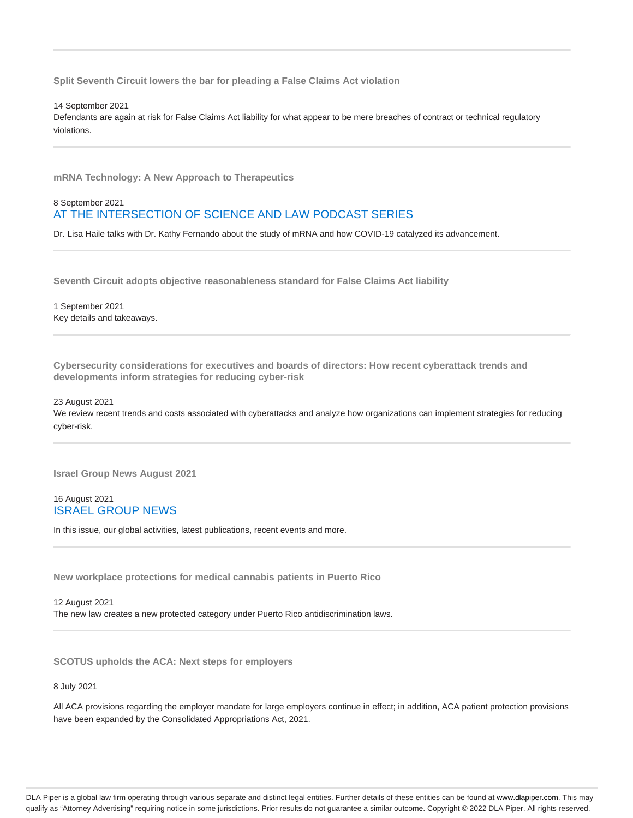**Split Seventh Circuit lowers the bar for pleading a False Claims Act violation**

14 September 2021

Defendants are again at risk for False Claims Act liability for what appear to be mere breaches of contract or technical regulatory violations.

**mRNA Technology: A New Approach to Therapeutics**

# 8 September 2021 AT THE INTERSECTION OF SCIENCE AND LAW PODCAST SERIES

Dr. Lisa Haile talks with Dr. Kathy Fernando about the study of mRNA and how COVID-19 catalyzed its advancement.

**Seventh Circuit adopts objective reasonableness standard for False Claims Act liability**

1 September 2021 Key details and takeaways.

**Cybersecurity considerations for executives and boards of directors: How recent cyberattack trends and developments inform strategies for reducing cyber-risk**

### 23 August 2021 We review recent trends and costs associated with cyberattacks and analyze how organizations can implement strategies for reducing cyber-risk.

**Israel Group News August 2021**

# 16 August 2021 ISRAEL GROUP NEWS

In this issue, our global activities, latest publications, recent events and more.

**New workplace protections for medical cannabis patients in Puerto Rico**

12 August 2021 The new law creates a new protected category under Puerto Rico antidiscrimination laws.

**SCOTUS upholds the ACA: Next steps for employers**

8 July 2021

All ACA provisions regarding the employer mandate for large employers continue in effect; in addition, ACA patient protection provisions have been expanded by the Consolidated Appropriations Act, 2021.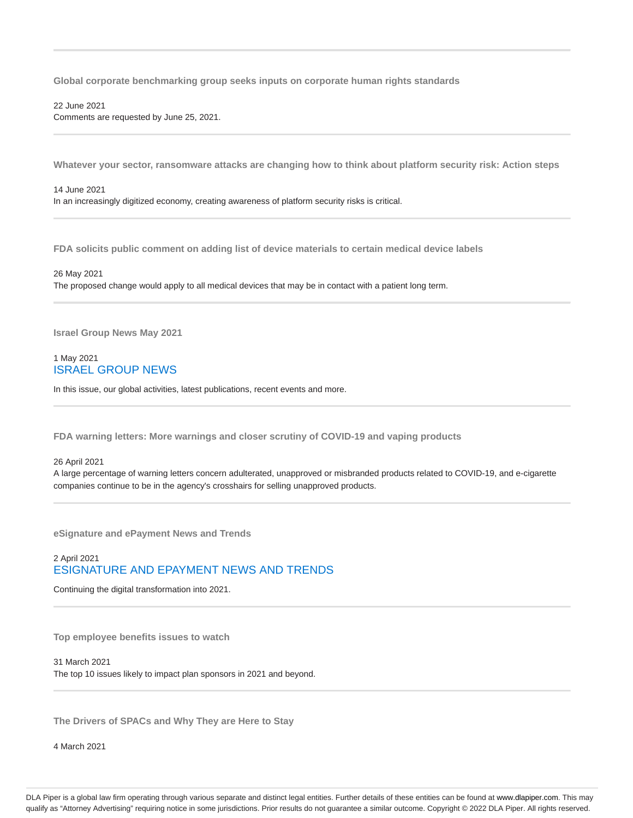**Global corporate benchmarking group seeks inputs on corporate human rights standards**

#### 22 June 2021 Comments are requested by June 25, 2021.

**Whatever your sector, ransomware attacks are changing how to think about platform security risk: Action steps**

#### 14 June 2021

In an increasingly digitized economy, creating awareness of platform security risks is critical.

**FDA solicits public comment on adding list of device materials to certain medical device labels**

#### 26 May 2021

The proposed change would apply to all medical devices that may be in contact with a patient long term.

**Israel Group News May 2021**

# 1 May 2021 ISRAEL GROUP NEWS

In this issue, our global activities, latest publications, recent events and more.

**FDA warning letters: More warnings and closer scrutiny of COVID-19 and vaping products**

#### 26 April 2021

A large percentage of warning letters concern adulterated, unapproved or misbranded products related to COVID-19, and e-cigarette companies continue to be in the agency's crosshairs for selling unapproved products.

**eSignature and ePayment News and Trends**

# 2 April 2021 ESIGNATURE AND EPAYMENT NEWS AND TRENDS

Continuing the digital transformation into 2021.

**Top employee benefits issues to watch**

31 March 2021 The top 10 issues likely to impact plan sponsors in 2021 and beyond.

**The Drivers of SPACs and Why They are Here to Stay**

4 March 2021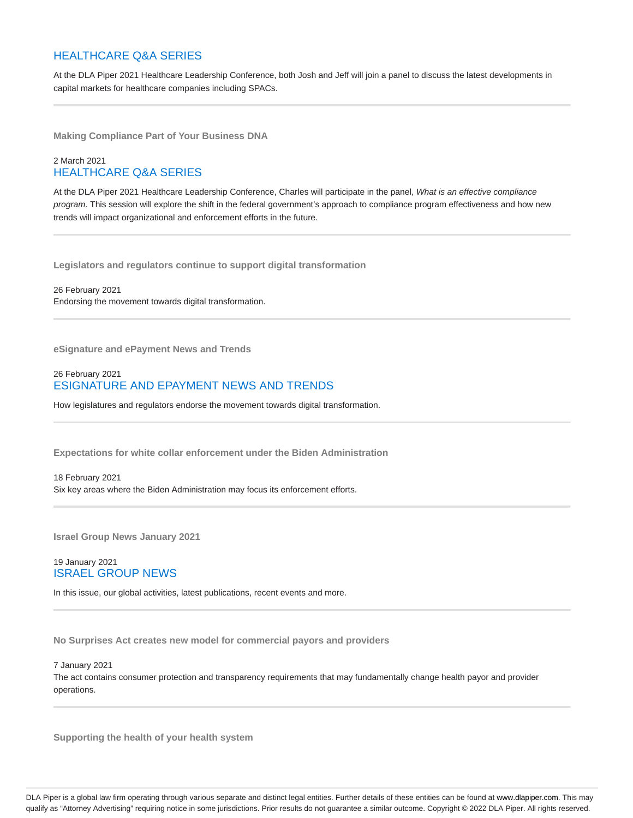# HEALTHCARE Q&A SERIES

At the DLA Piper 2021 Healthcare Leadership Conference, both Josh and Jeff will join a panel to discuss the latest developments in capital markets for healthcare companies including SPACs.

**Making Compliance Part of Your Business DNA**

# 2 March 2021 HEALTHCARE Q&A SERIES

At the DLA Piper 2021 Healthcare Leadership Conference, Charles will participate in the panel, What is an effective compliance program. This session will explore the shift in the federal government's approach to compliance program effectiveness and how new trends will impact organizational and enforcement efforts in the future.

**Legislators and regulators continue to support digital transformation**

26 February 2021 Endorsing the movement towards digital transformation.

**eSignature and ePayment News and Trends**

# 26 February 2021 ESIGNATURE AND EPAYMENT NEWS AND TRENDS

How legislatures and regulators endorse the movement towards digital transformation.

**Expectations for white collar enforcement under the Biden Administration**

#### 18 February 2021

Six key areas where the Biden Administration may focus its enforcement efforts.

**Israel Group News January 2021**

# 19 January 2021 ISRAEL GROUP NEWS

In this issue, our global activities, latest publications, recent events and more.

**No Surprises Act creates new model for commercial payors and providers**

#### 7 January 2021

The act contains consumer protection and transparency requirements that may fundamentally change health payor and provider operations.

**Supporting the health of your health system**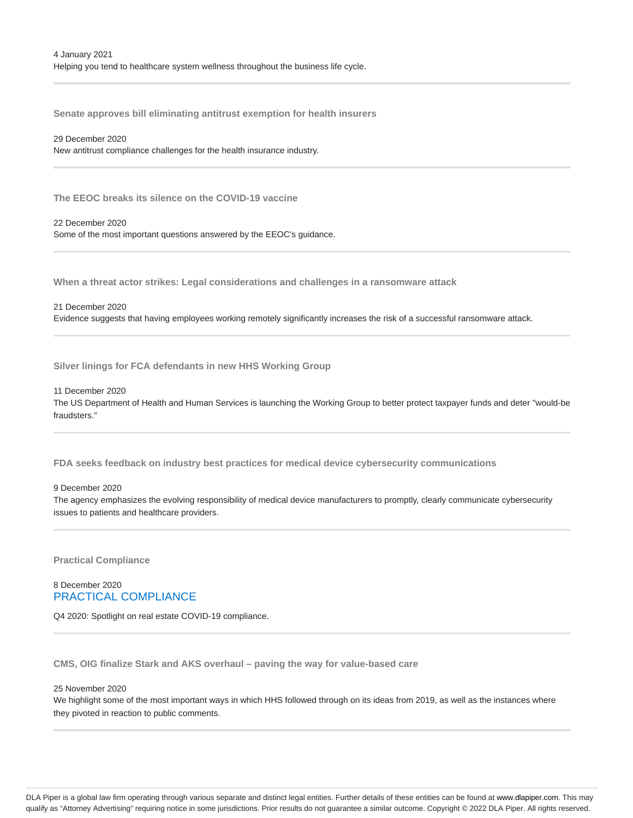**Senate approves bill eliminating antitrust exemption for health insurers**

#### 29 December 2020

New antitrust compliance challenges for the health insurance industry.

**The EEOC breaks its silence on the COVID-19 vaccine**

22 December 2020

Some of the most important questions answered by the EEOC's guidance.

**When a threat actor strikes: Legal considerations and challenges in a ransomware attack**

#### 21 December 2020

Evidence suggests that having employees working remotely significantly increases the risk of a successful ransomware attack.

**Silver linings for FCA defendants in new HHS Working Group**

#### 11 December 2020

The US Department of Health and Human Services is launching the Working Group to better protect taxpayer funds and deter "would-be fraudsters."

**FDA seeks feedback on industry best practices for medical device cybersecurity communications**

#### 9 December 2020

The agency emphasizes the evolving responsibility of medical device manufacturers to promptly, clearly communicate cybersecurity issues to patients and healthcare providers.

**Practical Compliance**

# 8 December 2020 PRACTICAL COMPLIANCE

Q4 2020: Spotlight on real estate COVID-19 compliance.

**CMS, OIG finalize Stark and AKS overhaul – paving the way for value-based care**

#### 25 November 2020

We highlight some of the most important ways in which HHS followed through on its ideas from 2019, as well as the instances where they pivoted in reaction to public comments.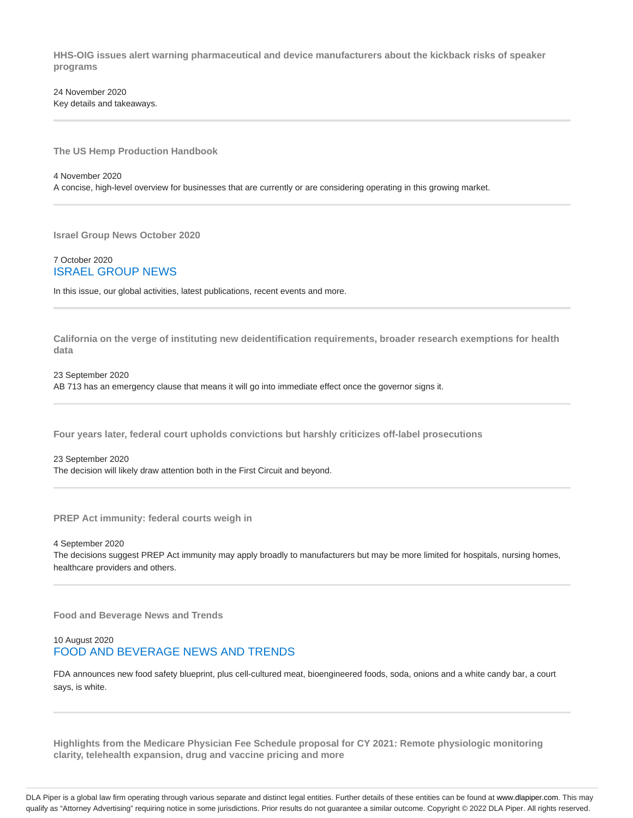**HHS-OIG issues alert warning pharmaceutical and device manufacturers about the kickback risks of speaker programs**

24 November 2020 Key details and takeaways.

**The US Hemp Production Handbook**

4 November 2020

A concise, high-level overview for businesses that are currently or are considering operating in this growing market.

**Israel Group News October 2020**

7 October 2020 ISRAEL GROUP NEWS

In this issue, our global activities, latest publications, recent events and more.

**California on the verge of instituting new deidentification requirements, broader research exemptions for health data**

23 September 2020 AB 713 has an emergency clause that means it will go into immediate effect once the governor signs it.

**Four years later, federal court upholds convictions but harshly criticizes off-label prosecutions**

23 September 2020 The decision will likely draw attention both in the First Circuit and beyond.

**PREP Act immunity: federal courts weigh in**

4 September 2020

The decisions suggest PREP Act immunity may apply broadly to manufacturers but may be more limited for hospitals, nursing homes, healthcare providers and others.

**Food and Beverage News and Trends**

# 10 August 2020 FOOD AND BEVERAGE NEWS AND TRENDS

FDA announces new food safety blueprint, plus cell-cultured meat, bioengineered foods, soda, onions and a white candy bar, a court says, is white.

**Highlights from the Medicare Physician Fee Schedule proposal for CY 2021: Remote physiologic monitoring clarity, telehealth expansion, drug and vaccine pricing and more**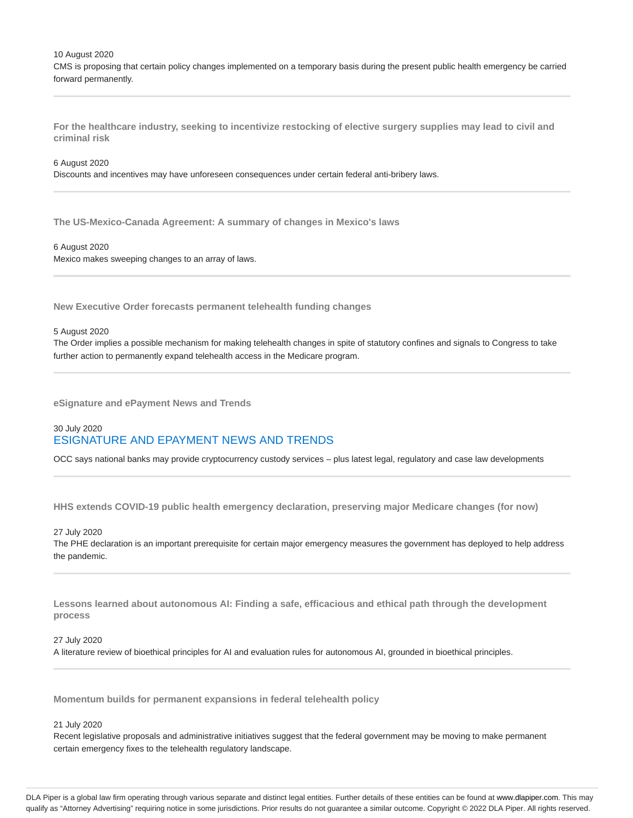10 August 2020

CMS is proposing that certain policy changes implemented on a temporary basis during the present public health emergency be carried forward permanently.

**For the healthcare industry, seeking to incentivize restocking of elective surgery supplies may lead to civil and criminal risk**

#### 6 August 2020

Discounts and incentives may have unforeseen consequences under certain federal anti-bribery laws.

**The US-Mexico-Canada Agreement: A summary of changes in Mexico's laws**

#### 6 August 2020 Mexico makes sweeping changes to an array of laws.

**New Executive Order forecasts permanent telehealth funding changes**

#### 5 August 2020

The Order implies a possible mechanism for making telehealth changes in spite of statutory confines and signals to Congress to take further action to permanently expand telehealth access in the Medicare program.

**eSignature and ePayment News and Trends**

# 30 July 2020 ESIGNATURE AND EPAYMENT NEWS AND TRENDS

OCC says national banks may provide cryptocurrency custody services – plus latest legal, regulatory and case law developments

**HHS extends COVID-19 public health emergency declaration, preserving major Medicare changes (for now)**

#### 27 July 2020

The PHE declaration is an important prerequisite for certain major emergency measures the government has deployed to help address the pandemic.

**Lessons learned about autonomous AI: Finding a safe, efficacious and ethical path through the development process**

#### 27 July 2020

A literature review of bioethical principles for AI and evaluation rules for autonomous AI, grounded in bioethical principles.

**Momentum builds for permanent expansions in federal telehealth policy**

#### 21 July 2020

Recent legislative proposals and administrative initiatives suggest that the federal government may be moving to make permanent certain emergency fixes to the telehealth regulatory landscape.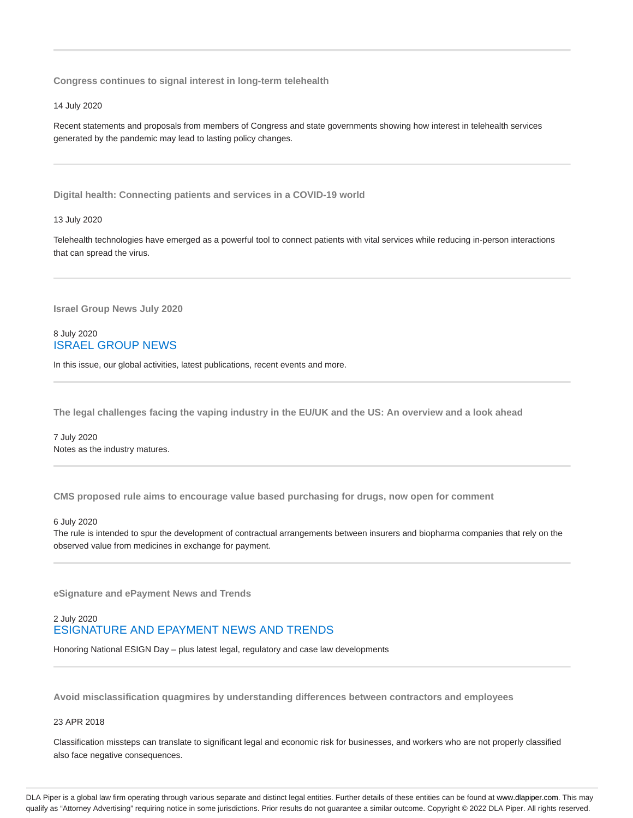**Congress continues to signal interest in long-term telehealth**

14 July 2020

Recent statements and proposals from members of Congress and state governments showing how interest in telehealth services generated by the pandemic may lead to lasting policy changes.

**Digital health: Connecting patients and services in a COVID-19 world**

13 July 2020

Telehealth technologies have emerged as a powerful tool to connect patients with vital services while reducing in-person interactions that can spread the virus.

**Israel Group News July 2020**

# 8 July 2020 ISRAEL GROUP NEWS

In this issue, our global activities, latest publications, recent events and more.

**The legal challenges facing the vaping industry in the EU/UK and the US: An overview and a look ahead**

7 July 2020 Notes as the industry matures.

**CMS proposed rule aims to encourage value based purchasing for drugs, now open for comment**

6 July 2020

The rule is intended to spur the development of contractual arrangements between insurers and biopharma companies that rely on the observed value from medicines in exchange for payment.

**eSignature and ePayment News and Trends**

# 2 July 2020 ESIGNATURE AND EPAYMENT NEWS AND TRENDS

Honoring National ESIGN Day – plus latest legal, regulatory and case law developments

**Avoid misclassification quagmires by understanding differences between contractors and employees**

23 APR 2018

Classification missteps can translate to significant legal and economic risk for businesses, and workers who are not properly classified also face negative consequences.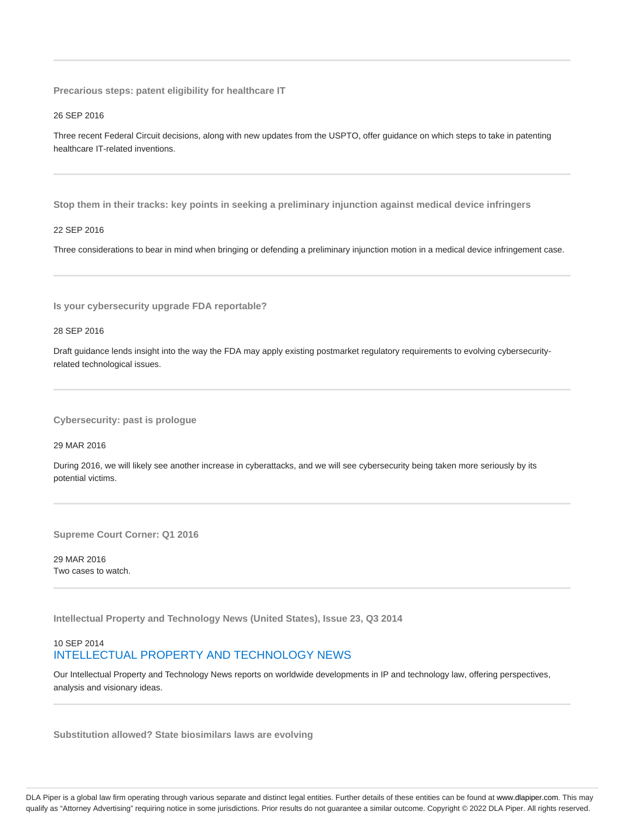**Precarious steps: patent eligibility for healthcare IT**

26 SEP 2016

Three recent Federal Circuit decisions, along with new updates from the USPTO, offer guidance on which steps to take in patenting healthcare IT-related inventions.

**Stop them in their tracks: key points in seeking a preliminary injunction against medical device infringers**

#### 22 SEP 2016

Three considerations to bear in mind when bringing or defending a preliminary injunction motion in a medical device infringement case.

**Is your cybersecurity upgrade FDA reportable?**

28 SEP 2016

Draft guidance lends insight into the way the FDA may apply existing postmarket regulatory requirements to evolving cybersecurityrelated technological issues.

**Cybersecurity: past is prologue**

29 MAR 2016

During 2016, we will likely see another increase in cyberattacks, and we will see cybersecurity being taken more seriously by its potential victims.

**Supreme Court Corner: Q1 2016**

29 MAR 2016 Two cases to watch.

**Intellectual Property and Technology News (United States), Issue 23, Q3 2014**

# 10 SEP 2014 INTELLECTUAL PROPERTY AND TECHNOLOGY NEWS

Our Intellectual Property and Technology News reports on worldwide developments in IP and technology law, offering perspectives, analysis and visionary ideas.

**Substitution allowed? State biosimilars laws are evolving**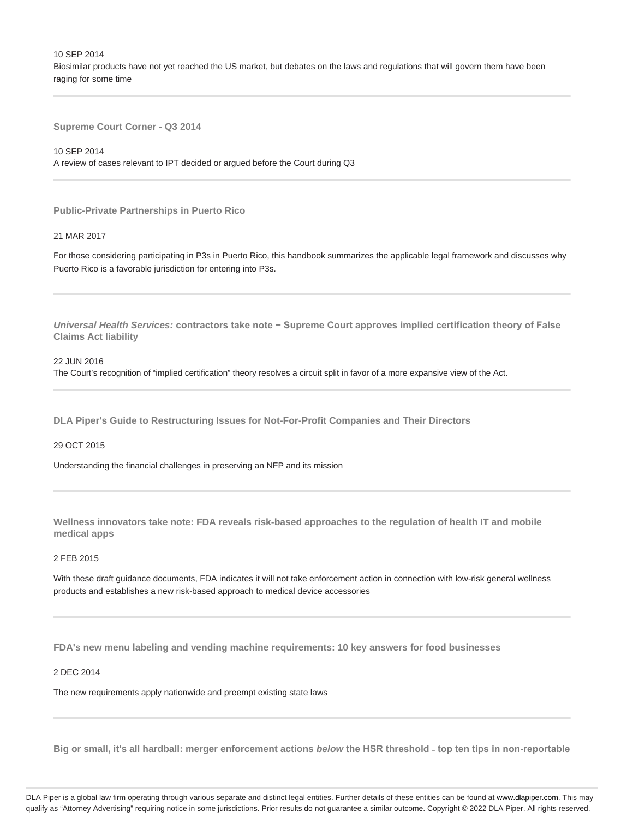10 SEP 2014 Biosimilar products have not yet reached the US market, but debates on the laws and regulations that will govern them have been raging for some time

**Supreme Court Corner - Q3 2014**

10 SEP 2014

A review of cases relevant to IPT decided or argued before the Court during Q3

**Public-Private Partnerships in Puerto Rico**

#### 21 MAR 2017

For those considering participating in P3s in Puerto Rico, this handbook summarizes the applicable legal framework and discusses why Puerto Rico is a favorable jurisdiction for entering into P3s.

**Universal Health Services: contractors take note − Supreme Court approves implied certification theory of False Claims Act liability**

#### 22 JUN 2016

The Court's recognition of "implied certification" theory resolves a circuit split in favor of a more expansive view of the Act.

**DLA Piper's Guide to Restructuring Issues for Not-For-Profit Companies and Their Directors**

### 29 OCT 2015

Understanding the financial challenges in preserving an NFP and its mission

**Wellness innovators take note: FDA reveals risk-based approaches to the regulation of health IT and mobile medical apps**

#### 2 FEB 2015

With these draft guidance documents, FDA indicates it will not take enforcement action in connection with low-risk general wellness products and establishes a new risk-based approach to medical device accessories

**FDA's new menu labeling and vending machine requirements: 10 key answers for food businesses**

#### 2 DEC 2014

The new requirements apply nationwide and preempt existing state laws

**Big or small, it's all hardball: merger enforcement actions below the HSR threshold ˗ top ten tips in non-reportable**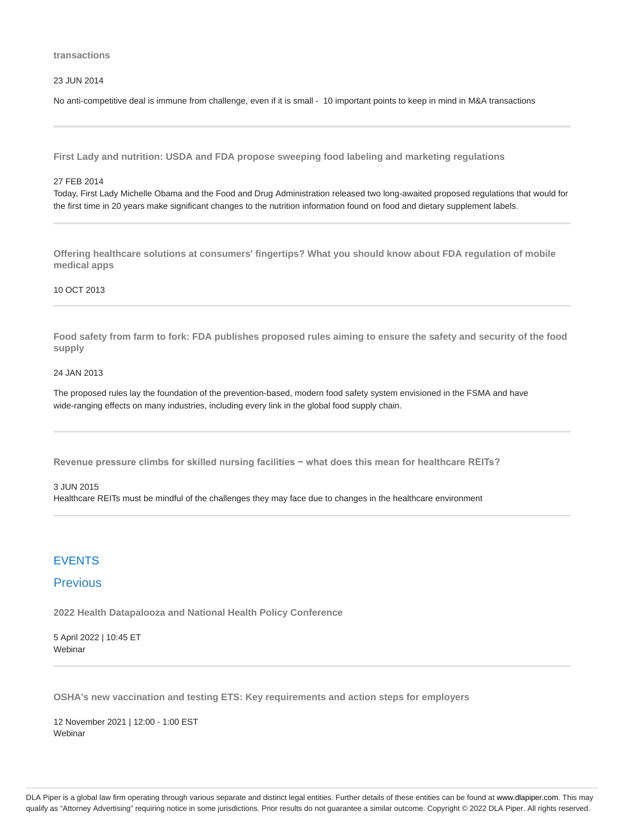#### **transactions**

23 JUN 2014

No anti-competitive deal is immune from challenge, even if it is small - 10 important points to keep in mind in M&A transactions

**First Lady and nutrition: USDA and FDA propose sweeping food labeling and marketing regulations**

#### 27 FEB 2014

Today, First Lady Michelle Obama and the Food and Drug Administration released two long-awaited proposed regulations that would for the first time in 20 years make significant changes to the nutrition information found on food and dietary supplement labels.

**Offering healthcare solutions at consumers' fingertips? What you should know about FDA regulation of mobile medical apps**

#### 10 OCT 2013

**Food safety from farm to fork: FDA publishes proposed rules aiming to ensure the safety and security of the food supply**

#### 24 JAN 2013

The proposed rules lay the foundation of the prevention-based, modern food safety system envisioned in the FSMA and have wide-ranging effects on many industries, including every link in the global food supply chain.

**Revenue pressure climbs for skilled nursing facilities − what does this mean for healthcare REITs?**

#### 3 JUN 2015

Healthcare REITs must be mindful of the challenges they may face due to changes in the healthcare environment

# **FVENTS**

# Previous

**2022 Health Datapalooza and National Health Policy Conference**

5 April 2022 | 10:45 ET Webinar

**OSHA's new vaccination and testing ETS: Key requirements and action steps for employers**

12 November 2021 | 12:00 - 1:00 EST Webinar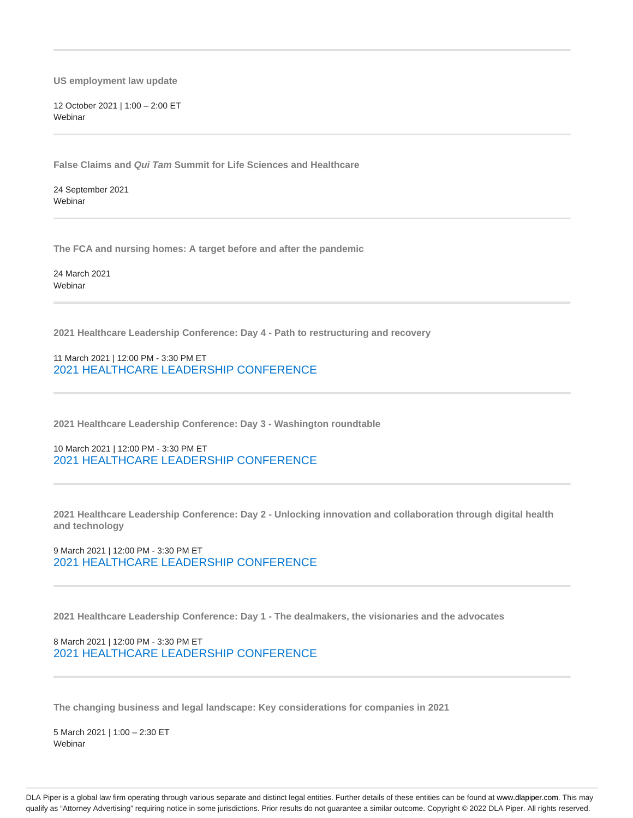**US employment law update**

12 October 2021 | 1:00 – 2:00 ET **Webinar** 

**False Claims and Qui Tam Summit for Life Sciences and Healthcare**

24 September 2021 **Webinar** 

**The FCA and nursing homes: A target before and after the pandemic**

24 March 2021 Webinar

**2021 Healthcare Leadership Conference: Day 4 - Path to restructuring and recovery**

11 March 2021 | 12:00 PM - 3:30 PM ET 2021 HEALTHCARE LEADERSHIP CONFERENCE

**2021 Healthcare Leadership Conference: Day 3 - Washington roundtable**

10 March 2021 | 12:00 PM - 3:30 PM ET 2021 HEALTHCARE LEADERSHIP CONFERENCE

**2021 Healthcare Leadership Conference: Day 2 - Unlocking innovation and collaboration through digital health and technology**

9 March 2021 | 12:00 PM - 3:30 PM ET 2021 HEALTHCARE LEADERSHIP CONFERENCE

**2021 Healthcare Leadership Conference: Day 1 - The dealmakers, the visionaries and the advocates**

8 March 2021 | 12:00 PM - 3:30 PM ET 2021 HEALTHCARE LEADERSHIP CONFERENCE

**The changing business and legal landscape: Key considerations for companies in 2021**

5 March 2021 | 1:00 – 2:30 ET Webinar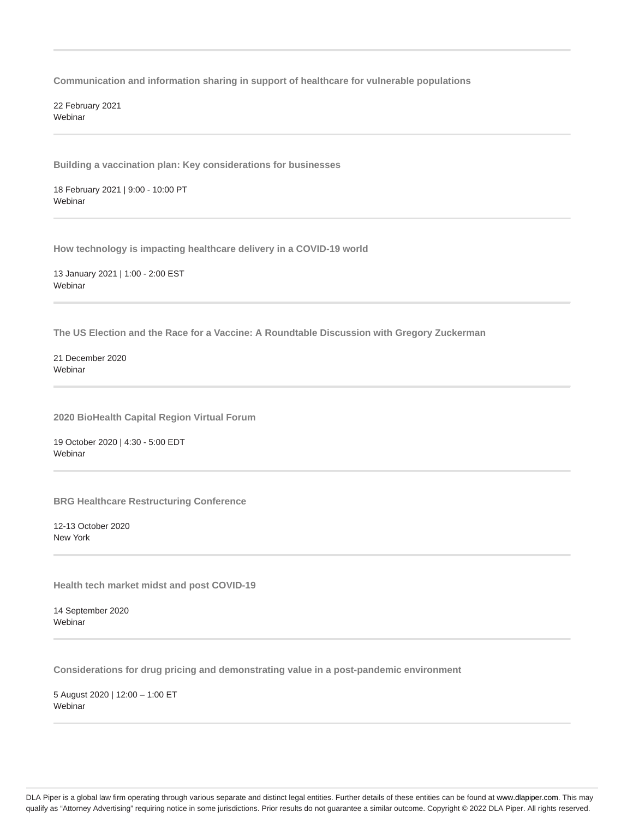**Communication and information sharing in support of healthcare for vulnerable populations**

22 February 2021 **Webinar** 

**Building a vaccination plan: Key considerations for businesses**

18 February 2021 | 9:00 - 10:00 PT Webinar

**How technology is impacting healthcare delivery in a COVID-19 world**

13 January 2021 | 1:00 - 2:00 EST Webinar

**The US Election and the Race for a Vaccine: A Roundtable Discussion with Gregory Zuckerman**

21 December 2020 Webinar

**2020 BioHealth Capital Region Virtual Forum**

19 October 2020 | 4:30 - 5:00 EDT Webinar

**BRG Healthcare Restructuring Conference**

12-13 October 2020 New York

**Health tech market midst and post COVID-19**

14 September 2020 **Webinar** 

**Considerations for drug pricing and demonstrating value in a post-pandemic environment**

5 August 2020 | 12:00 – 1:00 ET Webinar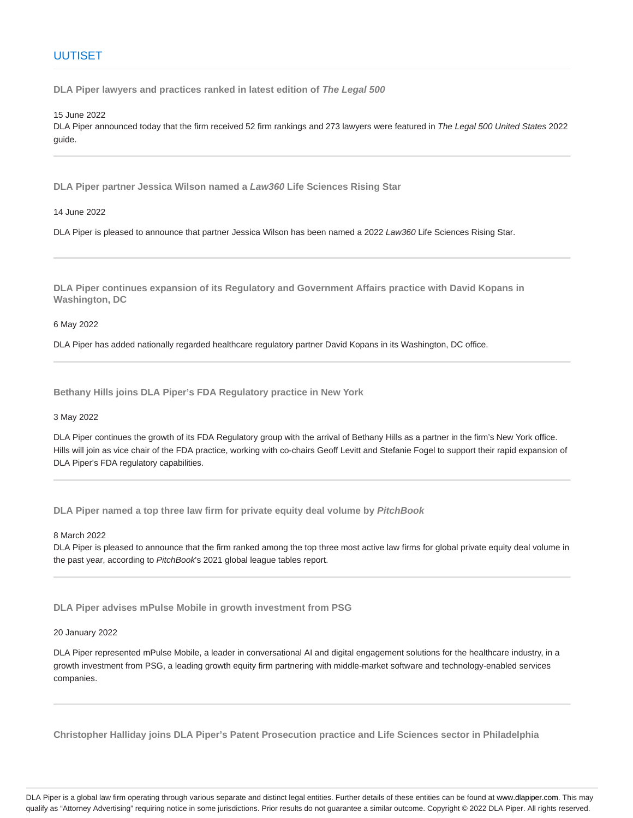# UUTISET

**DLA Piper lawyers and practices ranked in latest edition of The Legal 500**

15 June 2022

DLA Piper announced today that the firm received 52 firm rankings and 273 lawyers were featured in The Legal 500 United States 2022 guide.

**DLA Piper partner Jessica Wilson named a Law360 Life Sciences Rising Star**

14 June 2022

DLA Piper is pleased to announce that partner Jessica Wilson has been named a 2022 Law360 Life Sciences Rising Star.

**DLA Piper continues expansion of its Regulatory and Government Affairs practice with David Kopans in Washington, DC**

6 May 2022

DLA Piper has added nationally regarded healthcare regulatory partner David Kopans in its Washington, DC office.

**Bethany Hills joins DLA Piper's FDA Regulatory practice in New York**

3 May 2022

DLA Piper continues the growth of its FDA Regulatory group with the arrival of Bethany Hills as a partner in the firm's New York office. Hills will join as vice chair of the FDA practice, working with co-chairs Geoff Levitt and Stefanie Fogel to support their rapid expansion of DLA Piper's FDA regulatory capabilities.

**DLA Piper named a top three law firm for private equity deal volume by PitchBook**

8 March 2022

DLA Piper is pleased to announce that the firm ranked among the top three most active law firms for global private equity deal volume in the past year, according to PitchBook's 2021 global league tables report.

**DLA Piper advises mPulse Mobile in growth investment from PSG**

20 January 2022

DLA Piper represented mPulse Mobile, a leader in conversational AI and digital engagement solutions for the healthcare industry, in a growth investment from PSG, a leading growth equity firm partnering with middle-market software and technology-enabled services companies.

**Christopher Halliday joins DLA Piper's Patent Prosecution practice and Life Sciences sector in Philadelphia**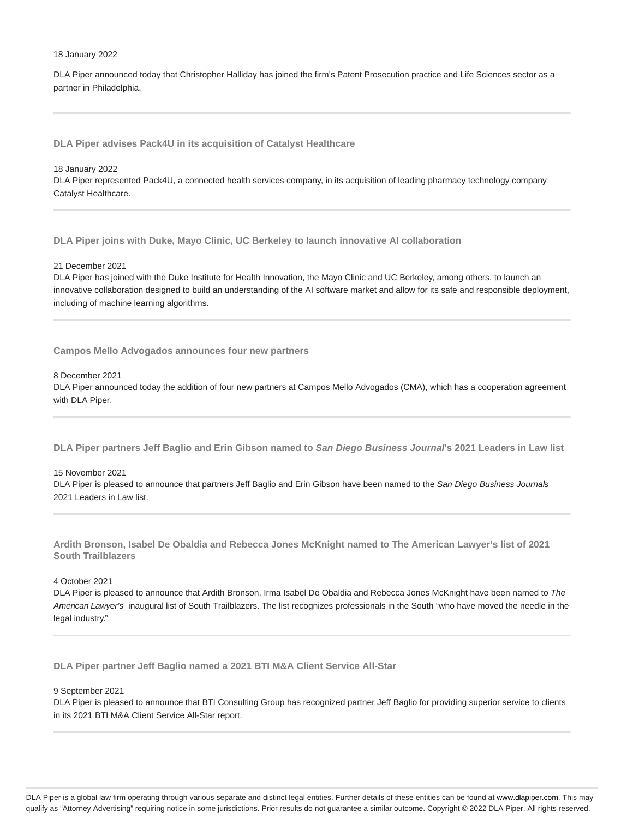#### 18 January 2022

DLA Piper announced today that Christopher Halliday has joined the firm's Patent Prosecution practice and Life Sciences sector as a partner in Philadelphia.

**DLA Piper advises Pack4U in its acquisition of Catalyst Healthcare**

18 January 2022

DLA Piper represented Pack4U, a connected health services company, in its acquisition of leading pharmacy technology company Catalyst Healthcare.

**DLA Piper joins with Duke, Mayo Clinic, UC Berkeley to launch innovative AI collaboration**

21 December 2021

DLA Piper has joined with the Duke Institute for Health Innovation, the Mayo Clinic and UC Berkeley, among others, to launch an innovative collaboration designed to build an understanding of the AI software market and allow for its safe and responsible deployment, including of machine learning algorithms.

**Campos Mello Advogados announces four new partners**

8 December 2021

DLA Piper announced today the addition of four new partners at Campos Mello Advogados (CMA), which has a cooperation agreement with DLA Piper.

**DLA Piper partners Jeff Baglio and Erin Gibson named to San Diego Business Journal's 2021 Leaders in Law list**

15 November 2021

DLA Piper is pleased to announce that partners Jeff Baglio and Erin Gibson have been named to the San Diego Business Journals 2021 Leaders in Law list.

**Ardith Bronson, Isabel De Obaldia and Rebecca Jones McKnight named to The American Lawyer's list of 2021 South Trailblazers**

4 October 2021

DLA Piper is pleased to announce that Ardith Bronson, Irma Isabel De Obaldia and Rebecca Jones McKnight have been named to The American Lawyer's inaugural list of South Trailblazers. The list recognizes professionals in the South "who have moved the needle in the legal industry."

**DLA Piper partner Jeff Baglio named a 2021 BTI M&A Client Service All-Star**

9 September 2021

DLA Piper is pleased to announce that BTI Consulting Group has recognized partner Jeff Baglio for providing superior service to clients in its 2021 BTI M&A Client Service All-Star report.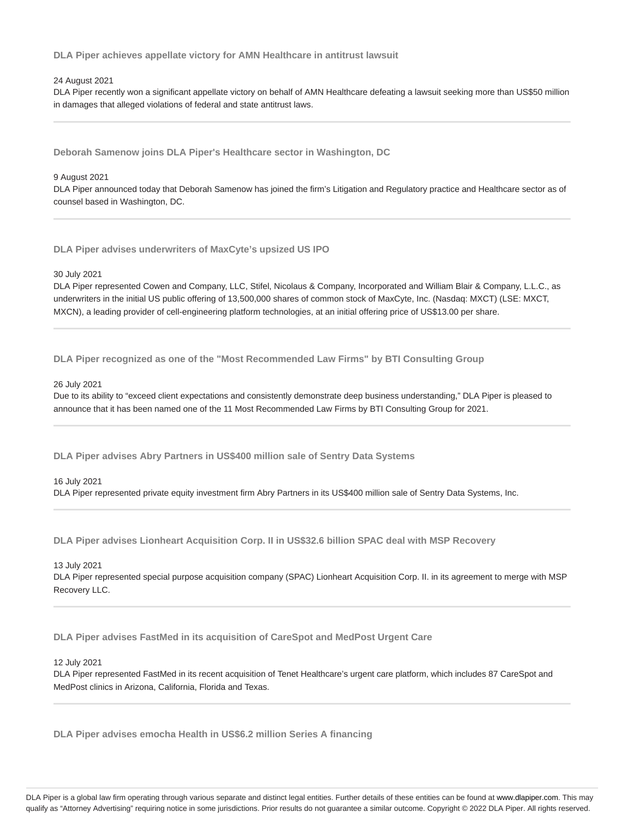**DLA Piper achieves appellate victory for AMN Healthcare in antitrust lawsuit**

#### 24 August 2021

DLA Piper recently won a significant appellate victory on behalf of AMN Healthcare defeating a lawsuit seeking more than US\$50 million in damages that alleged violations of federal and state antitrust laws.

**Deborah Samenow joins DLA Piper's Healthcare sector in Washington, DC**

#### 9 August 2021

DLA Piper announced today that Deborah Samenow has joined the firm's Litigation and Regulatory practice and Healthcare sector as of counsel based in Washington, DC.

**DLA Piper advises underwriters of MaxCyte's upsized US IPO**

#### 30 July 2021

DLA Piper represented Cowen and Company, LLC, Stifel, Nicolaus & Company, Incorporated and William Blair & Company, L.L.C., as underwriters in the initial US public offering of 13,500,000 shares of common stock of MaxCyte, Inc. (Nasdaq: MXCT) (LSE: MXCT, MXCN), a leading provider of cell-engineering platform technologies, at an initial offering price of US\$13.00 per share.

**DLA Piper recognized as one of the "Most Recommended Law Firms" by BTI Consulting Group**

#### 26 July 2021

Due to its ability to "exceed client expectations and consistently demonstrate deep business understanding," DLA Piper is pleased to announce that it has been named one of the 11 Most Recommended Law Firms by BTI Consulting Group for 2021.

**DLA Piper advises Abry Partners in US\$400 million sale of Sentry Data Systems**

#### 16 July 2021

DLA Piper represented private equity investment firm Abry Partners in its US\$400 million sale of Sentry Data Systems, Inc.

**DLA Piper advises Lionheart Acquisition Corp. II in US\$32.6 billion SPAC deal with MSP Recovery**

#### 13 July 2021

DLA Piper represented special purpose acquisition company (SPAC) Lionheart Acquisition Corp. II. in its agreement to merge with MSP Recovery LLC.

**DLA Piper advises FastMed in its acquisition of CareSpot and MedPost Urgent Care**

#### 12 July 2021

DLA Piper represented FastMed in its recent acquisition of Tenet Healthcare's urgent care platform, which includes 87 CareSpot and MedPost clinics in Arizona, California, Florida and Texas.

**DLA Piper advises emocha Health in US\$6.2 million Series A financing**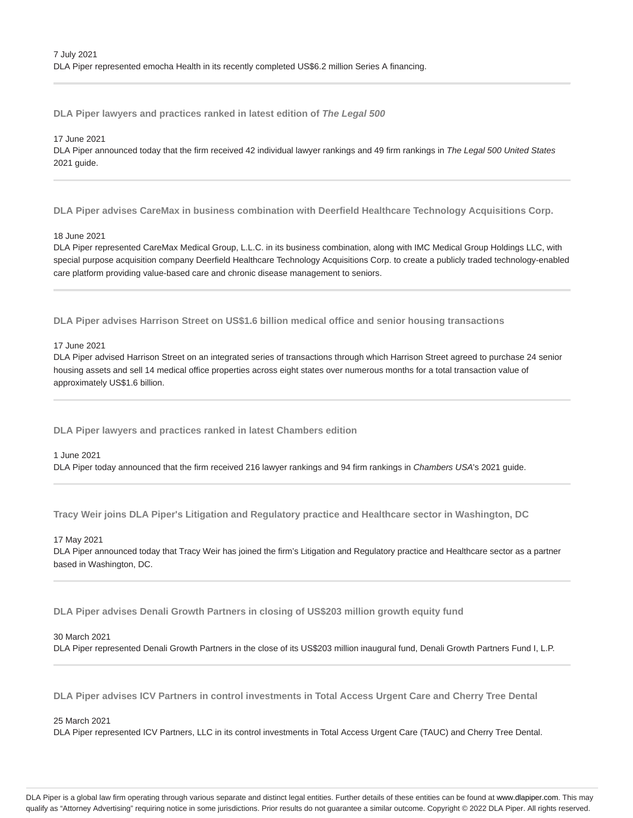**DLA Piper lawyers and practices ranked in latest edition of The Legal 500**

17 June 2021

DLA Piper announced today that the firm received 42 individual lawyer rankings and 49 firm rankings in The Legal 500 United States 2021 guide.

**DLA Piper advises CareMax in business combination with Deerfield Healthcare Technology Acquisitions Corp.**

18 June 2021

DLA Piper represented CareMax Medical Group, L.L.C. in its business combination, along with IMC Medical Group Holdings LLC, with special purpose acquisition company Deerfield Healthcare Technology Acquisitions Corp. to create a publicly traded technology-enabled care platform providing value-based care and chronic disease management to seniors.

**DLA Piper advises Harrison Street on US\$1.6 billion medical office and senior housing transactions**

17 June 2021

DLA Piper advised Harrison Street on an integrated series of transactions through which Harrison Street agreed to purchase 24 senior housing assets and sell 14 medical office properties across eight states over numerous months for a total transaction value of approximately US\$1.6 billion.

**DLA Piper lawyers and practices ranked in latest Chambers edition**

1 June 2021

DLA Piper today announced that the firm received 216 lawyer rankings and 94 firm rankings in Chambers USA's 2021 guide.

**Tracy Weir joins DLA Piper's Litigation and Regulatory practice and Healthcare sector in Washington, DC**

17 May 2021

DLA Piper announced today that Tracy Weir has joined the firm's Litigation and Regulatory practice and Healthcare sector as a partner based in Washington, DC.

**DLA Piper advises Denali Growth Partners in closing of US\$203 million growth equity fund**

#### 30 March 2021

DLA Piper represented Denali Growth Partners in the close of its US\$203 million inaugural fund, Denali Growth Partners Fund I, L.P.

**DLA Piper advises ICV Partners in control investments in Total Access Urgent Care and Cherry Tree Dental**

25 March 2021

DLA Piper represented ICV Partners, LLC in its control investments in Total Access Urgent Care (TAUC) and Cherry Tree Dental.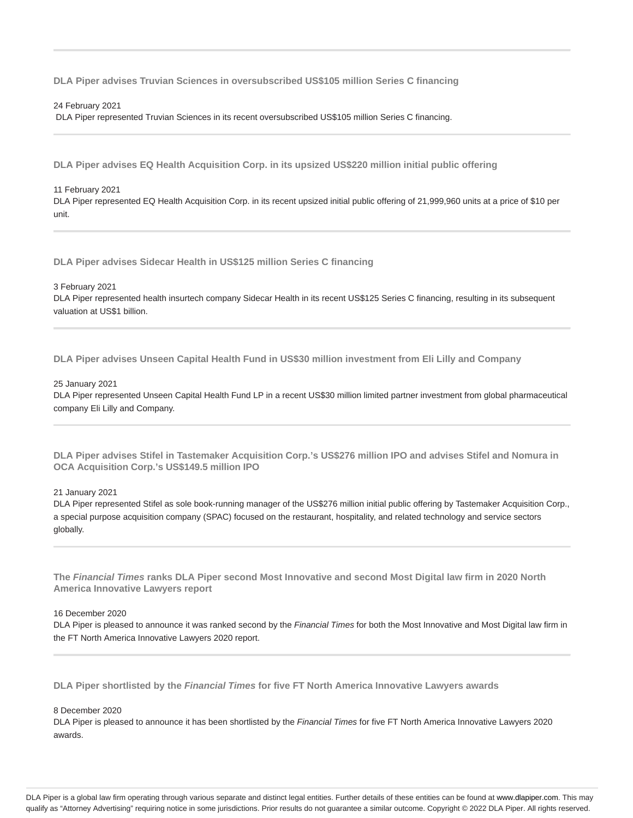**DLA Piper advises Truvian Sciences in oversubscribed US\$105 million Series C financing**

#### 24 February 2021

DLA Piper represented Truvian Sciences in its recent oversubscribed US\$105 million Series C financing.

**DLA Piper advises EQ Health Acquisition Corp. in its upsized US\$220 million initial public offering**

#### 11 February 2021

DLA Piper represented EQ Health Acquisition Corp. in its recent upsized initial public offering of 21,999,960 units at a price of \$10 per unit.

**DLA Piper advises Sidecar Health in US\$125 million Series C financing**

#### 3 February 2021

DLA Piper represented health insurtech company Sidecar Health in its recent US\$125 Series C financing, resulting in its subsequent valuation at US\$1 billion.

**DLA Piper advises Unseen Capital Health Fund in US\$30 million investment from Eli Lilly and Company**

#### 25 January 2021

DLA Piper represented Unseen Capital Health Fund LP in a recent US\$30 million limited partner investment from global pharmaceutical company Eli Lilly and Company.

**DLA Piper advises Stifel in Tastemaker Acquisition Corp.'s US\$276 million IPO and advises Stifel and Nomura in OCA Acquisition Corp.'s US\$149.5 million IPO**

#### 21 January 2021

DLA Piper represented Stifel as sole book-running manager of the US\$276 million initial public offering by Tastemaker Acquisition Corp., a special purpose acquisition company (SPAC) focused on the restaurant, hospitality, and related technology and service sectors globally.

**The Financial Times ranks DLA Piper second Most Innovative and second Most Digital law firm in 2020 North America Innovative Lawyers report**

#### 16 December 2020

DLA Piper is pleased to announce it was ranked second by the Financial Times for both the Most Innovative and Most Digital law firm in the FT North America Innovative Lawyers 2020 report.

**DLA Piper shortlisted by the Financial Times for five FT North America Innovative Lawyers awards**

#### 8 December 2020

DLA Piper is pleased to announce it has been shortlisted by the Financial Times for five FT North America Innovative Lawyers 2020 awards.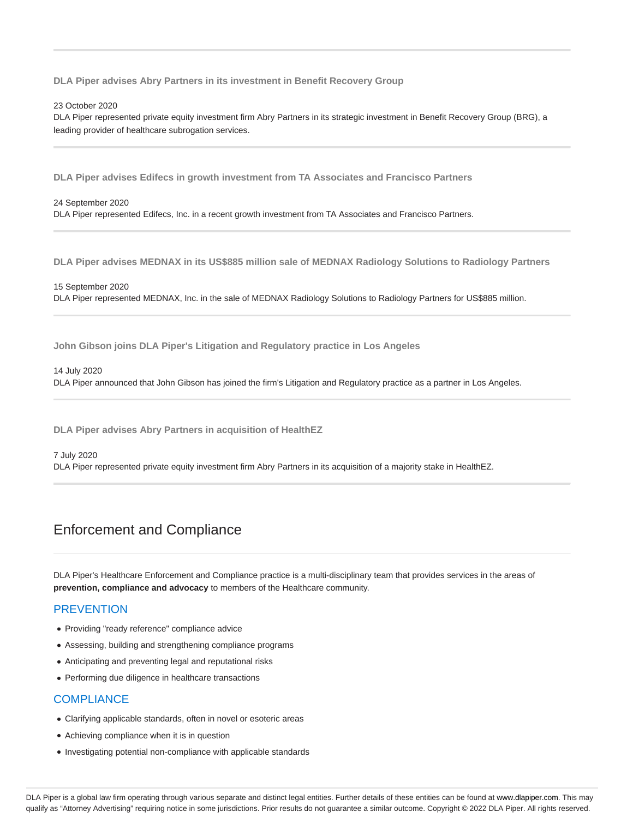**DLA Piper advises Abry Partners in its investment in Benefit Recovery Group**

23 October 2020

DLA Piper represented private equity investment firm Abry Partners in its strategic investment in Benefit Recovery Group (BRG), a leading provider of healthcare subrogation services.

**DLA Piper advises Edifecs in growth investment from TA Associates and Francisco Partners**

24 September 2020 DLA Piper represented Edifecs, Inc. in a recent growth investment from TA Associates and Francisco Partners.

**DLA Piper advises MEDNAX in its US\$885 million sale of MEDNAX Radiology Solutions to Radiology Partners**

15 September 2020 DLA Piper represented MEDNAX, Inc. in the sale of MEDNAX Radiology Solutions to Radiology Partners for US\$885 million.

**John Gibson joins DLA Piper's Litigation and Regulatory practice in Los Angeles**

14 July 2020 DLA Piper announced that John Gibson has joined the firm's Litigation and Regulatory practice as a partner in Los Angeles.

**DLA Piper advises Abry Partners in acquisition of HealthEZ**

#### 7 July 2020

DLA Piper represented private equity investment firm Abry Partners in its acquisition of a majority stake in HealthEZ.

# Enforcement and Compliance

DLA Piper's Healthcare Enforcement and Compliance practice is a multi-disciplinary team that provides services in the areas of **prevention, compliance and advocacy** to members of the Healthcare community.

# **PREVENTION**

- Providing "ready reference" compliance advice
- Assessing, building and strengthening compliance programs
- Anticipating and preventing legal and reputational risks
- Performing due diligence in healthcare transactions

# **COMPLIANCE**

- Clarifying applicable standards, often in novel or esoteric areas
- Achieving compliance when it is in question
- Investigating potential non-compliance with applicable standards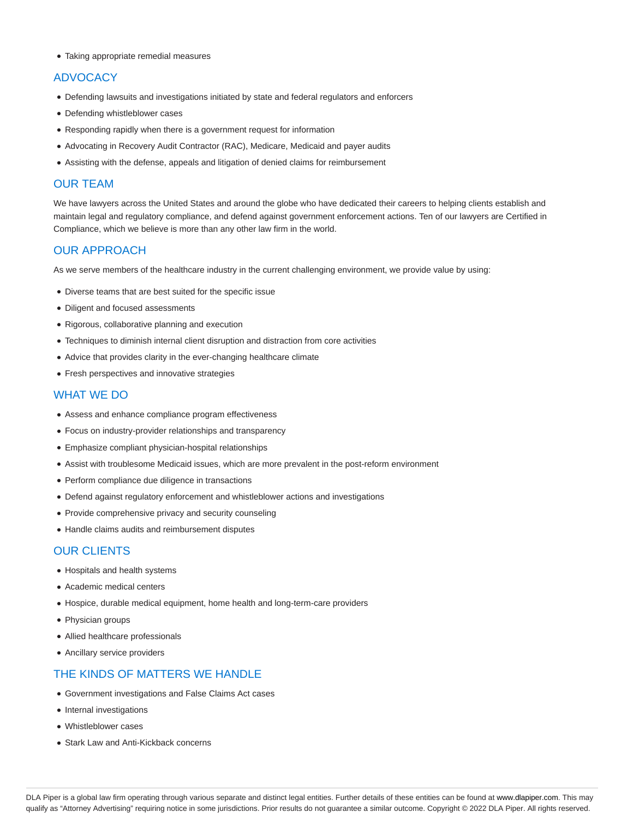Taking appropriate remedial measures

# **ADVOCACY**

- Defending lawsuits and investigations initiated by state and federal regulators and enforcers
- Defending whistleblower cases
- Responding rapidly when there is a government request for information
- Advocating in Recovery Audit Contractor (RAC), Medicare, Medicaid and payer audits
- Assisting with the defense, appeals and litigation of denied claims for reimbursement

# OUR TEAM

We have lawyers across the United States and around the globe who have dedicated their careers to helping clients establish and maintain legal and regulatory compliance, and defend against government enforcement actions. Ten of our lawyers are Certified in Compliance, which we believe is more than any other law firm in the world.

# OUR APPROACH

As we serve members of the healthcare industry in the current challenging environment, we provide value by using:

- Diverse teams that are best suited for the specific issue
- Diligent and focused assessments
- Rigorous, collaborative planning and execution
- Techniques to diminish internal client disruption and distraction from core activities
- Advice that provides clarity in the ever-changing healthcare climate
- Fresh perspectives and innovative strategies

# WHAT WE DO

- Assess and enhance compliance program effectiveness
- Focus on industry-provider relationships and transparency
- Emphasize compliant physician-hospital relationships
- Assist with troublesome Medicaid issues, which are more prevalent in the post-reform environment
- Perform compliance due diligence in transactions
- Defend against regulatory enforcement and whistleblower actions and investigations
- Provide comprehensive privacy and security counseling
- Handle claims audits and reimbursement disputes

# OUR CLIENTS

- Hospitals and health systems
- Academic medical centers
- Hospice, durable medical equipment, home health and long-term-care providers
- Physician groups
- Allied healthcare professionals
- Ancillary service providers

# THE KINDS OF MATTERS WE HANDLE

- Government investigations and False Claims Act cases
- Internal investigations
- Whistleblower cases
- Stark Law and Anti-Kickback concerns